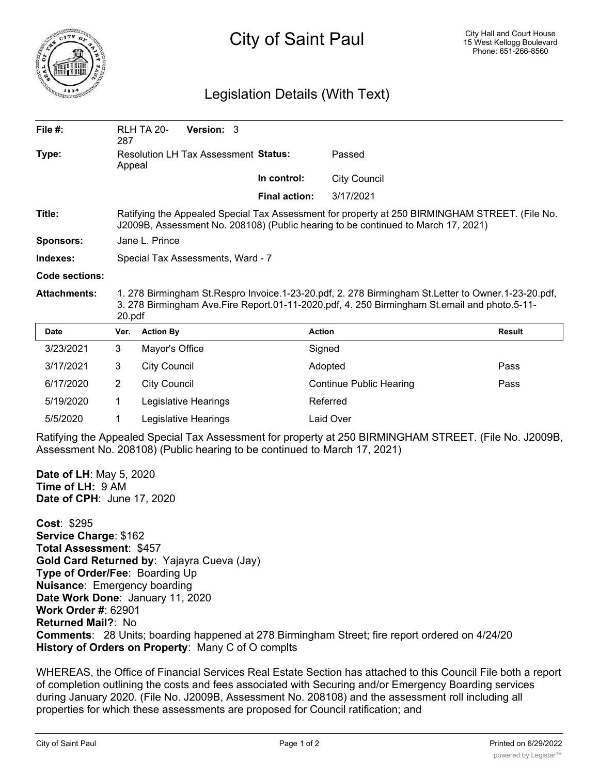

## City of Saint Paul

## Legislation Details (With Text)

| File $#$ :          | 287                                                                                                                                                                                                              | <b>RLH TA 20-</b>                    | <b>Version: 3</b> |                      |                                |        |
|---------------------|------------------------------------------------------------------------------------------------------------------------------------------------------------------------------------------------------------------|--------------------------------------|-------------------|----------------------|--------------------------------|--------|
| Type:               | Appeal                                                                                                                                                                                                           | Resolution LH Tax Assessment Status: |                   |                      | Passed                         |        |
|                     |                                                                                                                                                                                                                  |                                      |                   | In control:          | <b>City Council</b>            |        |
|                     |                                                                                                                                                                                                                  |                                      |                   | <b>Final action:</b> | 3/17/2021                      |        |
| Title:              | Ratifying the Appealed Special Tax Assessment for property at 250 BIRMINGHAM STREET. (File No.<br>J2009B, Assessment No. 208108) (Public hearing to be continued to March 17, 2021)                              |                                      |                   |                      |                                |        |
| <b>Sponsors:</b>    | Jane L. Prince                                                                                                                                                                                                   |                                      |                   |                      |                                |        |
| Indexes:            | Special Tax Assessments, Ward - 7                                                                                                                                                                                |                                      |                   |                      |                                |        |
| Code sections:      |                                                                                                                                                                                                                  |                                      |                   |                      |                                |        |
| <b>Attachments:</b> | 1. 278 Birmingham St. Respro Invoice. 1-23-20.pdf, 2. 278 Birmingham St. Letter to Owner. 1-23-20.pdf,<br>3. 278 Birmingham Ave.Fire Report.01-11-2020.pdf, 4. 250 Birmingham St.email and photo.5-11-<br>20.pdf |                                      |                   |                      |                                |        |
|                     |                                                                                                                                                                                                                  |                                      |                   |                      |                                |        |
| <b>Date</b>         | Ver.                                                                                                                                                                                                             | <b>Action By</b>                     |                   |                      | <b>Action</b>                  | Result |
| 3/23/2021           | 3                                                                                                                                                                                                                | Mayor's Office                       |                   |                      | Signed                         |        |
| 3/17/2021           | 3                                                                                                                                                                                                                | <b>City Council</b>                  |                   |                      | Adopted                        | Pass   |
| 6/17/2020           | 2                                                                                                                                                                                                                | <b>City Council</b>                  |                   |                      | <b>Continue Public Hearing</b> | Pass   |
| 5/19/2020           | 1                                                                                                                                                                                                                | Legislative Hearings                 |                   |                      | Referred                       |        |

Ratifying the Appealed Special Tax Assessment for property at 250 BIRMINGHAM STREET. (File No. J2009B, Assessment No. 208108) (Public hearing to be continued to March 17, 2021)

**Date of LH**: May 5, 2020 **Time of LH:** 9 AM **Date of CPH**: June 17, 2020

**Cost**: \$295 **Service Charge**: \$162 **Total Assessment**: \$457 **Gold Card Returned by**: Yajayra Cueva (Jay) **Type of Order/Fee**: Boarding Up **Nuisance**: Emergency boarding **Date Work Done**: January 11, 2020 **Work Order #**: 62901 **Returned Mail?**: No **Comments**: 28 Units; boarding happened at 278 Birmingham Street; fire report ordered on 4/24/20 **History of Orders on Property**: Many C of O complts

WHEREAS, the Office of Financial Services Real Estate Section has attached to this Council File both a report of completion outlining the costs and fees associated with Securing and/or Emergency Boarding services during January 2020. (File No. J2009B, Assessment No. 208108) and the assessment roll including all properties for which these assessments are proposed for Council ratification; and